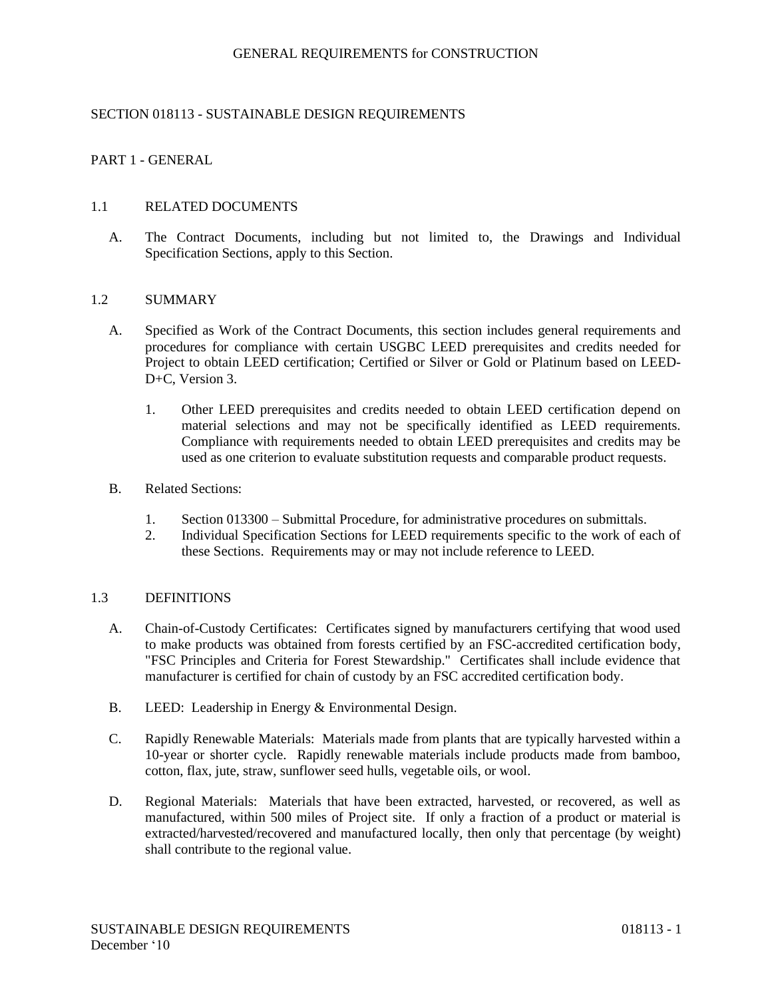## GENERAL REQUIREMENTS for CONSTRUCTION

# SECTION 018113 - SUSTAINABLE DESIGN REQUIREMENTS

# PART 1 - GENERAL

### 1.1 RELATED DOCUMENTS

A. The Contract Documents, including but not limited to, the Drawings and Individual Specification Sections, apply to this Section.

### 1.2 SUMMARY

- A. Specified as Work of the Contract Documents, this section includes general requirements and procedures for compliance with certain USGBC LEED prerequisites and credits needed for Project to obtain LEED certification; Certified or Silver or Gold or Platinum based on LEED-D+C, Version 3.
	- 1. Other LEED prerequisites and credits needed to obtain LEED certification depend on material selections and may not be specifically identified as LEED requirements. Compliance with requirements needed to obtain LEED prerequisites and credits may be used as one criterion to evaluate substitution requests and comparable product requests.
- B. Related Sections:
	- 1. Section 013300 Submittal Procedure, for administrative procedures on submittals.
	- 2. Individual Specification Sections for LEED requirements specific to the work of each of these Sections. Requirements may or may not include reference to LEED.

### 1.3 DEFINITIONS

- A. Chain-of-Custody Certificates: Certificates signed by manufacturers certifying that wood used to make products was obtained from forests certified by an FSC-accredited certification body, "FSC Principles and Criteria for Forest Stewardship." Certificates shall include evidence that manufacturer is certified for chain of custody by an FSC accredited certification body.
- B. LEED: Leadership in Energy & Environmental Design.
- C. Rapidly Renewable Materials: Materials made from plants that are typically harvested within a 10-year or shorter cycle. Rapidly renewable materials include products made from bamboo, cotton, flax, jute, straw, sunflower seed hulls, vegetable oils, or wool.
- D. Regional Materials: Materials that have been extracted, harvested, or recovered, as well as manufactured, within 500 miles of Project site. If only a fraction of a product or material is extracted/harvested/recovered and manufactured locally, then only that percentage (by weight) shall contribute to the regional value.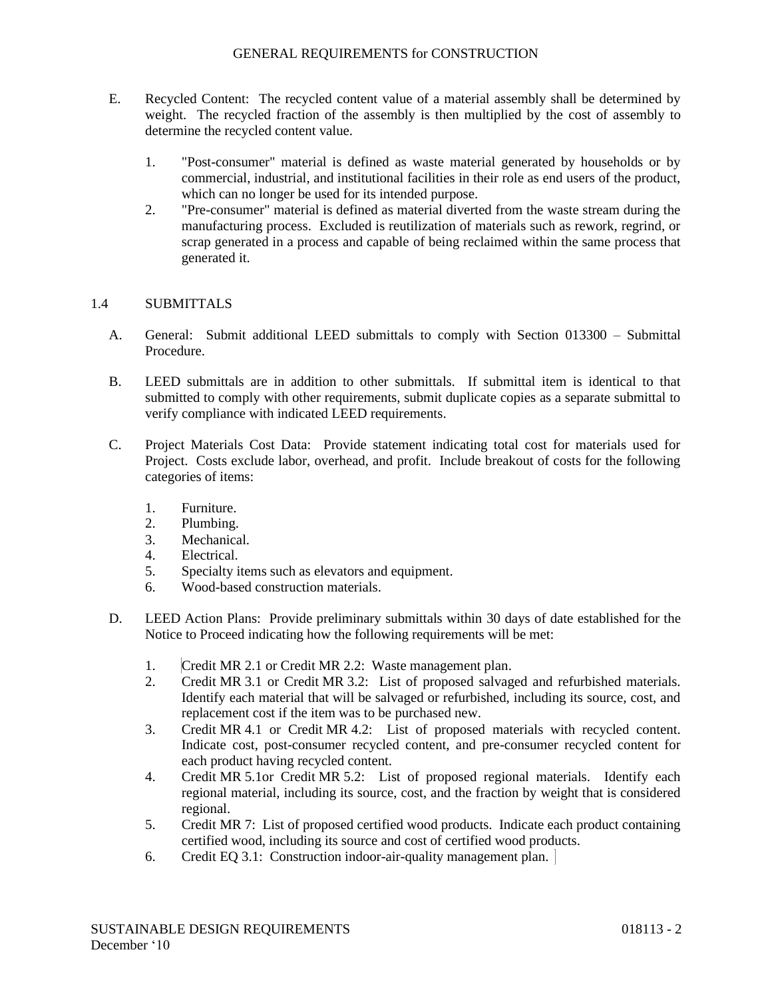## GENERAL REQUIREMENTS for CONSTRUCTION

- E. Recycled Content: The recycled content value of a material assembly shall be determined by weight. The recycled fraction of the assembly is then multiplied by the cost of assembly to determine the recycled content value.
	- 1. "Post-consumer" material is defined as waste material generated by households or by commercial, industrial, and institutional facilities in their role as end users of the product, which can no longer be used for its intended purpose.
	- 2. "Pre-consumer" material is defined as material diverted from the waste stream during the manufacturing process. Excluded is reutilization of materials such as rework, regrind, or scrap generated in a process and capable of being reclaimed within the same process that generated it.

## 1.4 SUBMITTALS

- A. General: Submit additional LEED submittals to comply with Section 013300 Submittal Procedure.
- B. LEED submittals are in addition to other submittals. If submittal item is identical to that submitted to comply with other requirements, submit duplicate copies as a separate submittal to verify compliance with indicated LEED requirements.
- C. Project Materials Cost Data: Provide statement indicating total cost for materials used for Project. Costs exclude labor, overhead, and profit. Include breakout of costs for the following categories of items:
	- 1. Furniture.
	- 2. Plumbing.
	- 3. Mechanical.
	- 4. Electrical.
	- 5. Specialty items such as elevators and equipment.
	- 6. Wood-based construction materials.
- D. LEED Action Plans: Provide preliminary submittals within 30 days of date established for the Notice to Proceed indicating how the following requirements will be met:
	- 1. Credit MR 2.1 or Credit MR 2.2: Waste management plan.
	- 2. Credit MR 3.1 or Credit MR 3.2: List of proposed salvaged and refurbished materials. Identify each material that will be salvaged or refurbished, including its source, cost, and replacement cost if the item was to be purchased new.
	- 3. Credit MR 4.1 or Credit MR 4.2: List of proposed materials with recycled content. Indicate cost, post-consumer recycled content, and pre-consumer recycled content for each product having recycled content.
	- 4. Credit MR 5.1or Credit MR 5.2: List of proposed regional materials. Identify each regional material, including its source, cost, and the fraction by weight that is considered regional.
	- 5. Credit MR 7: List of proposed certified wood products. Indicate each product containing certified wood, including its source and cost of certified wood products.
	- 6. Credit EQ 3.1: Construction indoor-air-quality management plan.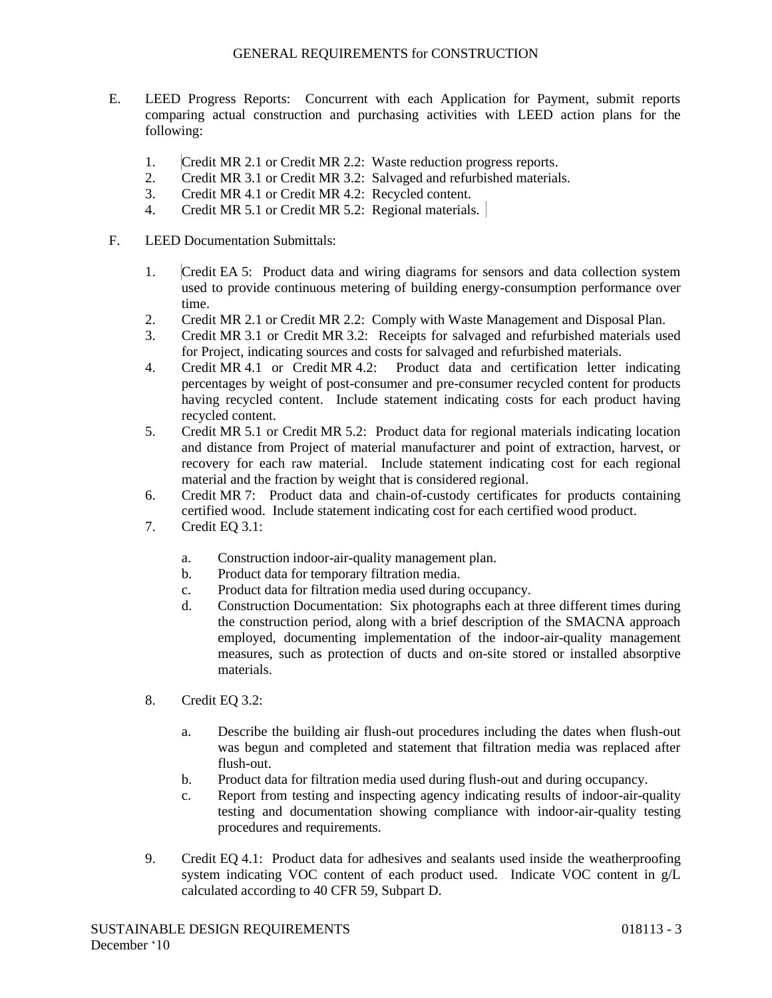- E. LEED Progress Reports: Concurrent with each Application for Payment, submit reports comparing actual construction and purchasing activities with LEED action plans for the following:
	- 1. Credit MR 2.1 or Credit MR 2.2: Waste reduction progress reports.
	- 2. Credit MR 3.1 or Credit MR 3.2: Salvaged and refurbished materials.
	- 3. Credit MR 4.1 or Credit MR 4.2: Recycled content.
	- 4. Credit MR 5.1 or Credit MR 5.2: Regional materials.

## F. LEED Documentation Submittals:

- 1. Credit EA 5: Product data and wiring diagrams for sensors and data collection system used to provide continuous metering of building energy-consumption performance over time.
- 2. Credit MR 2.1 or Credit MR 2.2: Comply with Waste Management and Disposal Plan.
- 3. Credit MR 3.1 or Credit MR 3.2: Receipts for salvaged and refurbished materials used for Project, indicating sources and costs for salvaged and refurbished materials.
- 4. Credit MR 4.1 or Credit MR 4.2: Product data and certification letter indicating percentages by weight of post-consumer and pre-consumer recycled content for products having recycled content. Include statement indicating costs for each product having recycled content.
- 5. Credit MR 5.1 or Credit MR 5.2: Product data for regional materials indicating location and distance from Project of material manufacturer and point of extraction, harvest, or recovery for each raw material. Include statement indicating cost for each regional material and the fraction by weight that is considered regional.
- 6. Credit MR 7: Product data and chain-of-custody certificates for products containing certified wood. Include statement indicating cost for each certified wood product.
- 7. Credit EQ 3.1:
	- a. Construction indoor-air-quality management plan.
	- b. Product data for temporary filtration media.
	- c. Product data for filtration media used during occupancy.
	- d. Construction Documentation: Six photographs each at three different times during the construction period, along with a brief description of the SMACNA approach employed, documenting implementation of the indoor-air-quality management measures, such as protection of ducts and on-site stored or installed absorptive materials.
- 8. Credit EQ 3.2:
	- a. Describe the building air flush-out procedures including the dates when flush-out was begun and completed and statement that filtration media was replaced after flush-out.
	- b. Product data for filtration media used during flush-out and during occupancy.
	- c. Report from testing and inspecting agency indicating results of indoor-air-quality testing and documentation showing compliance with indoor-air-quality testing procedures and requirements.
- 9. Credit EQ 4.1: Product data for adhesives and sealants used inside the weatherproofing system indicating VOC content of each product used. Indicate VOC content in g/L calculated according to 40 CFR 59, Subpart D.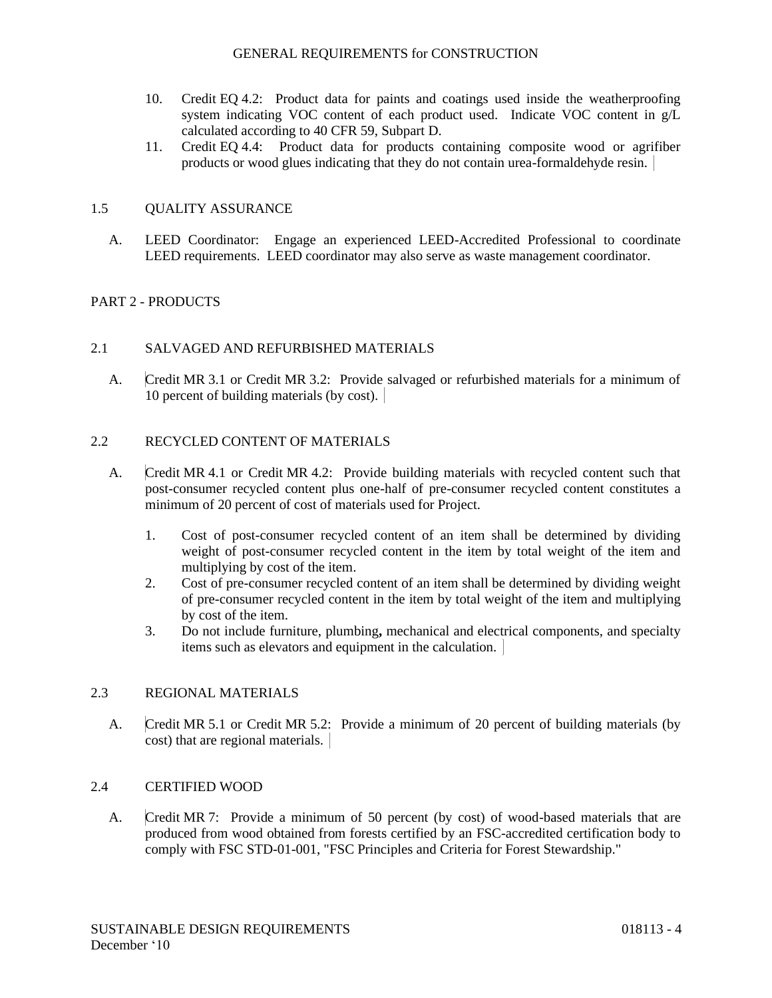- 10. Credit EQ 4.2: Product data for paints and coatings used inside the weatherproofing system indicating VOC content of each product used. Indicate VOC content in g/L calculated according to 40 CFR 59, Subpart D.
- 11. Credit EQ 4.4: Product data for products containing composite wood or agrifiber products or wood glues indicating that they do not contain urea-formaldehyde resin.

# 1.5 QUALITY ASSURANCE

A. LEED Coordinator: Engage an experienced LEED-Accredited Professional to coordinate LEED requirements. LEED coordinator may also serve as waste management coordinator.

# PART 2 - PRODUCTS

## 2.1 SALVAGED AND REFURBISHED MATERIALS

A. Credit MR 3.1 or Credit MR 3.2: Provide salvaged or refurbished materials for a minimum of 10 percent of building materials (by cost).

### 2.2 RECYCLED CONTENT OF MATERIALS

- A. Credit MR 4.1 or Credit MR 4.2: Provide building materials with recycled content such that post-consumer recycled content plus one-half of pre-consumer recycled content constitutes a minimum of 20 percent of cost of materials used for Project.
	- 1. Cost of post-consumer recycled content of an item shall be determined by dividing weight of post-consumer recycled content in the item by total weight of the item and multiplying by cost of the item.
	- 2. Cost of pre-consumer recycled content of an item shall be determined by dividing weight of pre-consumer recycled content in the item by total weight of the item and multiplying by cost of the item.
	- 3. Do not include furniture, plumbing**,** mechanical and electrical components, and specialty items such as elevators and equipment in the calculation.

## 2.3 REGIONAL MATERIALS

A. Credit MR 5.1 or Credit MR 5.2: Provide a minimum of 20 percent of building materials (by cost) that are regional materials.

## 2.4 CERTIFIED WOOD

A. Credit MR 7: Provide a minimum of 50 percent (by cost) of wood-based materials that are produced from wood obtained from forests certified by an FSC-accredited certification body to comply with FSC STD-01-001, "FSC Principles and Criteria for Forest Stewardship."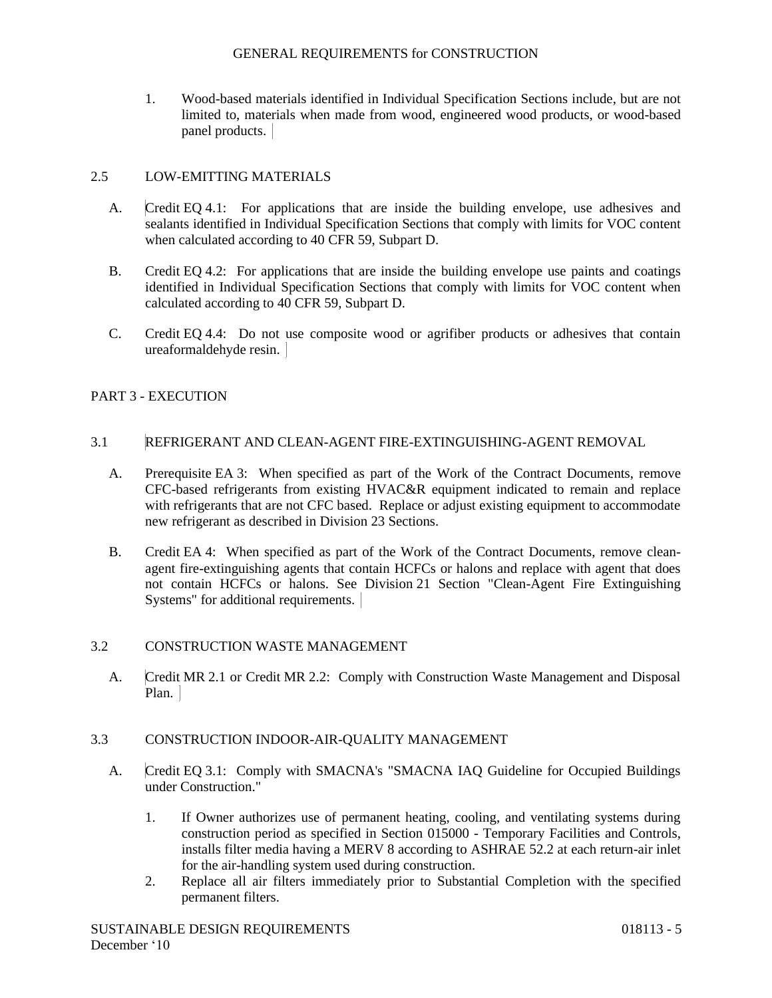1. Wood-based materials identified in Individual Specification Sections include, but are not limited to, materials when made from wood, engineered wood products, or wood-based panel products.

# 2.5 LOW-EMITTING MATERIALS

- A. Credit EQ 4.1: For applications that are inside the building envelope, use adhesives and sealants identified in Individual Specification Sections that comply with limits for VOC content when calculated according to 40 CFR 59, Subpart D.
- B. Credit EQ 4.2: For applications that are inside the building envelope use paints and coatings identified in Individual Specification Sections that comply with limits for VOC content when calculated according to 40 CFR 59, Subpart D.
- C. Credit EQ 4.4: Do not use composite wood or agrifiber products or adhesives that contain ureaformaldehyde resin.

# PART 3 - EXECUTION

### 3.1 REFRIGERANT AND CLEAN-AGENT FIRE-EXTINGUISHING-AGENT REMOVAL

- A. Prerequisite EA 3: When specified as part of the Work of the Contract Documents, remove CFC-based refrigerants from existing HVAC&R equipment indicated to remain and replace with refrigerants that are not CFC based. Replace or adjust existing equipment to accommodate new refrigerant as described in Division 23 Sections.
- B. Credit EA 4: When specified as part of the Work of the Contract Documents, remove cleanagent fire-extinguishing agents that contain HCFCs or halons and replace with agent that does not contain HCFCs or halons. See Division 21 Section "Clean-Agent Fire Extinguishing Systems" for additional requirements.

## 3.2 CONSTRUCTION WASTE MANAGEMENT

A. Credit MR 2.1 or Credit MR 2.2: Comply with Construction Waste Management and Disposal Plan.

## 3.3 CONSTRUCTION INDOOR-AIR-QUALITY MANAGEMENT

- A. Credit EQ 3.1: Comply with SMACNA's "SMACNA IAQ Guideline for Occupied Buildings under Construction."
	- 1. If Owner authorizes use of permanent heating, cooling, and ventilating systems during construction period as specified in Section 015000 - Temporary Facilities and Controls, installs filter media having a MERV 8 according to ASHRAE 52.2 at each return-air inlet for the air-handling system used during construction.
	- 2. Replace all air filters immediately prior to Substantial Completion with the specified permanent filters.